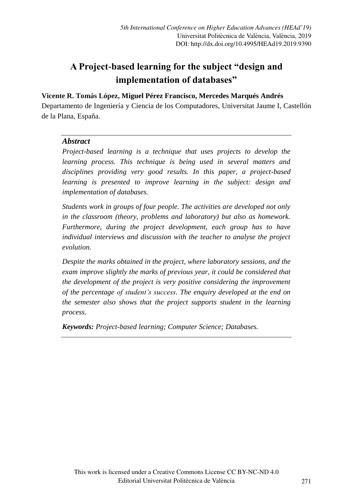# **A Project-based learning for the subject "design and implementation of databases"**

## **Vicente R. Tomás López, Miguel Pérez Francisco, Mercedes Marqués Andrés**

Departamento de Ingeniería y Ciencia de los Computadores, Universitat Jaume I, Castellón de la Plana, España.

## *Abstract*

*Project-based learning is a technique that uses projects to develop the learning process. This technique is being used in several matters and disciplines providing very good results. In this paper, a project-based learning is presented to improve learning in the subject: design and implementation of databases.*

*Students work in groups of four people. The activities are developed not only in the classroom (theory, problems and laboratory) but also as homework. Furthermore, during the project development, each group has to have individual interviews and discussion with the teacher to analyse the project evolution.*

*Despite the marks obtained in the project, where laboratory sessions, and the exam improve slightly the marks of previous year, it could be considered that the development of the project is very positive considering the improvement of the percentage of student's success. The enquiry developed at the end on the semester also shows that the project supports student in the learning process.*

*Keywords: Project-based learning; Computer Science; Databases.*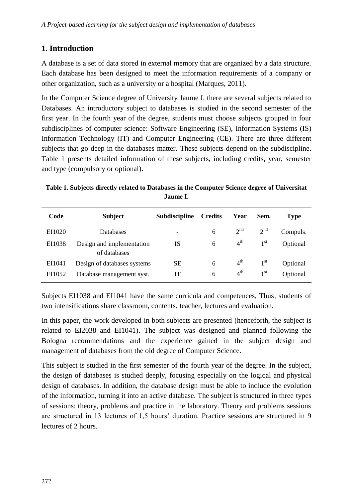## **1. Introduction**

A database is a set of data stored in external memory that are organized by a data structure. Each database has been designed to meet the information requirements of a company or other organization, such as a university or a hospital (Marques, 2011).

In the Computer Science degree of University Jaume I, there are several subjects related to Databases. An introductory subject to databases is studied in the second semester of the first year. In the fourth year of the degree, students must choose subjects grouped in four subdisciplines of computer science: Software Engineering (SE), Information Systems (IS) Information Technology (IT) and Computer Engineering (CE). There are three different subjects that go deep in the databases matter. These subjects depend on the subdiscipline. Table 1 presents detailed information of these subjects, including credits, year, semester and type (compulsory or optional).

**Table 1. Subjects directly related to Databases in the Computer Science degree of Universitat Jaume I**.

| Code   | <b>Subject</b>                            | Subdiscipline | <b>Credits</b> | Year            | Sem.            | <b>Type</b> |
|--------|-------------------------------------------|---------------|----------------|-----------------|-----------------|-------------|
| EI1020 | <b>Databases</b>                          |               | 6              | 2 <sup>nd</sup> | 2 <sup>nd</sup> | Compuls.    |
| EI1038 | Design and implementation<br>of databases | IS            | 6              | 4 <sup>th</sup> | 1 <sup>st</sup> | Optional    |
| EI1041 | Design of databases systems               | SЕ            | 6              | 4 <sup>th</sup> | 1 <sup>st</sup> | Optional    |
| EI1052 | Database management syst.                 | IТ            | 6              | $4^{\text{th}}$ | 1 <sup>st</sup> | Optional    |

Subjects EI1038 and EI1041 have the same curricula and competences, Thus, students of two intensifications share classroom, contents, teacher, lectures and evaluation.

In this paper, the work developed in both subjects are presented (henceforth, the subject is related to EI2038 and EI1041). The subject was designed and planned following the Bologna recommendations and the experience gained in the subject design and management of databases from the old degree of Computer Science.

This subject is studied in the first semester of the fourth year of the degree. In the subject, the design of databases is studied deeply, focusing especially on the logical and physical design of databases. In addition, the database design must be able to include the evolution of the information, turning it into an active database. The subject is structured in three types of sessions: theory, problems and practice in the laboratory. Theory and problems sessions are structured in 13 lectures of 1,5 hours' duration. Practice sessions are structured in 9 lectures of 2 hours.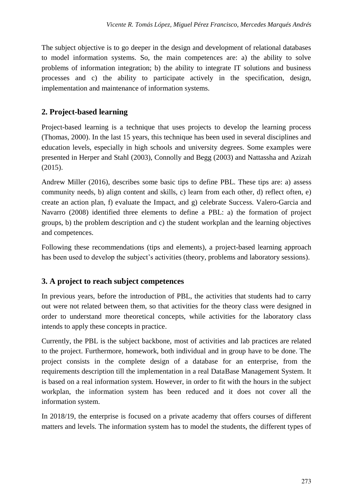The subject objective is to go deeper in the design and development of relational databases to model information systems. So, the main competences are: a) the ability to solve problems of information integration; b) the ability to integrate IT solutions and business processes and c) the ability to participate actively in the specification, design, implementation and maintenance of information systems.

# **2. Project-based learning**

Project-based learning is a technique that uses projects to develop the learning process (Thomas, 2000). In the last 15 years, this technique has been used in several disciplines and education levels, especially in high schools and university degrees. Some examples were presented in Herper and Stahl (2003), Connolly and Begg (2003) and Nattassha and Azizah (2015).

Andrew Miller (2016), describes some basic tips to define PBL. These tips are: a) assess community needs, b) align content and skills, c) learn from each other, d) reflect often, e) create an action plan, f) evaluate the Impact, and g) celebrate Success. Valero-Garcia and Navarro (2008) identified three elements to define a PBL: a) the formation of project groups, b) the problem description and c) the student workplan and the learning objectives and competences.

Following these recommendations (tips and elements), a project-based learning approach has been used to develop the subject's activities (theory, problems and laboratory sessions).

# **3. A project to reach subject competences**

In previous years, before the introduction of PBL, the activities that students had to carry out were not related between them, so that activities for the theory class were designed in order to understand more theoretical concepts, while activities for the laboratory class intends to apply these concepts in practice.

Currently, the PBL is the subject backbone, most of activities and lab practices are related to the project. Furthermore, homework, both individual and in group have to be done. The project consists in the complete design of a database for an enterprise, from the requirements description till the implementation in a real DataBase Management System. It is based on a real information system. However, in order to fit with the hours in the subject workplan, the information system has been reduced and it does not cover all the information system.

In 2018/19, the enterprise is focused on a private academy that offers courses of different matters and levels. The information system has to model the students, the different types of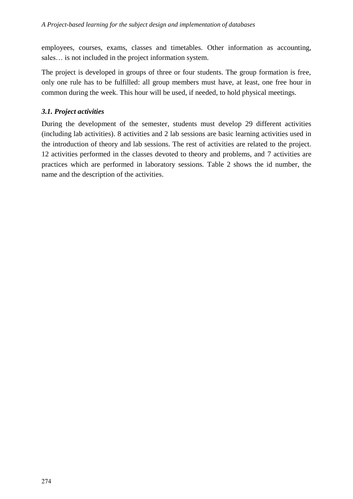employees, courses, exams, classes and timetables. Other information as accounting, sales… is not included in the project information system.

The project is developed in groups of three or four students. The group formation is free, only one rule has to be fulfilled: all group members must have, at least, one free hour in common during the week. This hour will be used, if needed, to hold physical meetings.

## *3.1. Project activities*

During the development of the semester, students must develop 29 different activities (including lab activities). 8 activities and 2 lab sessions are basic learning activities used in the introduction of theory and lab sessions. The rest of activities are related to the project. 12 activities performed in the classes devoted to theory and problems, and 7 activities are practices which are performed in laboratory sessions. Table 2 shows the id number, the name and the description of the activities.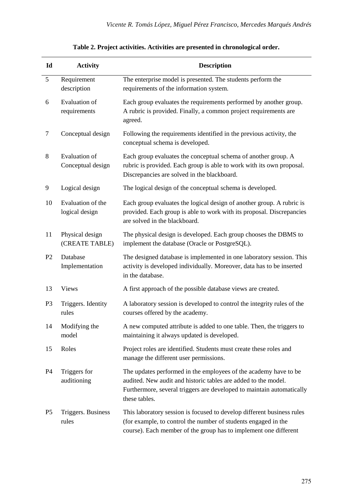| Id             | <b>Activity</b>                     | <b>Description</b>                                                                                                                                                                                                           |
|----------------|-------------------------------------|------------------------------------------------------------------------------------------------------------------------------------------------------------------------------------------------------------------------------|
| 5              | Requirement<br>description          | The enterprise model is presented. The students perform the<br>requirements of the information system.                                                                                                                       |
| 6              | Evaluation of<br>requirements       | Each group evaluates the requirements performed by another group.<br>A rubric is provided. Finally, a common project requirements are<br>agreed.                                                                             |
| 7              | Conceptual design                   | Following the requirements identified in the previous activity, the<br>conceptual schema is developed.                                                                                                                       |
| 8              | Evaluation of<br>Conceptual design  | Each group evaluates the conceptual schema of another group. A<br>rubric is provided. Each group is able to work with its own proposal.<br>Discrepancies are solved in the blackboard.                                       |
| 9              | Logical design                      | The logical design of the conceptual schema is developed.                                                                                                                                                                    |
| 10             | Evaluation of the<br>logical design | Each group evaluates the logical design of another group. A rubric is<br>provided. Each group is able to work with its proposal. Discrepancies<br>are solved in the blackboard.                                              |
| 11             | Physical design<br>(CREATE TABLE)   | The physical design is developed. Each group chooses the DBMS to<br>implement the database (Oracle or PostgreSQL).                                                                                                           |
| P <sub>2</sub> | Database<br>Implementation          | The designed database is implemented in one laboratory session. This<br>activity is developed individually. Moreover, data has to be inserted<br>in the database.                                                            |
| 13             | <b>Views</b>                        | A first approach of the possible database views are created.                                                                                                                                                                 |
| P3             | Triggers. Identity<br>rules         | A laboratory session is developed to control the integrity rules of the<br>courses offered by the academy.                                                                                                                   |
| 14             | Modifying the<br>model              | A new computed attribute is added to one table. Then, the triggers to<br>maintaining it always updated is developed.                                                                                                         |
| 15             | Roles                               | Project roles are identified. Students must create these roles and<br>manage the different user permissions.                                                                                                                 |
| P <sub>4</sub> | Triggers for<br>auditioning         | The updates performed in the employees of the academy have to be<br>audited. New audit and historic tables are added to the model.<br>Furthermore, several triggers are developed to maintain automatically<br>these tables. |
| P <sub>5</sub> | Triggers. Business<br>rules         | This laboratory session is focused to develop different business rules<br>(for example, to control the number of students engaged in the<br>course). Each member of the group has to implement one different                 |

## **Table 2. Project activities. Activities are presented in chronological order.**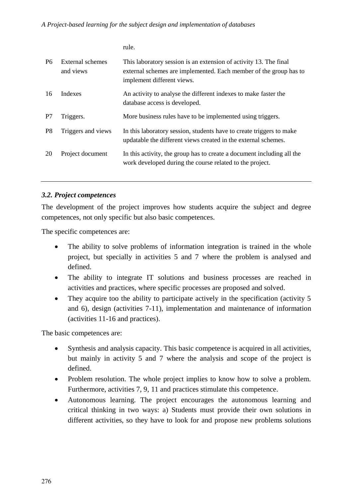rule.

| <b>P6</b>      | External schemes<br>and views | This laboratory session is an extension of activity 13. The final<br>external schemes are implemented. Each member of the group has to<br>implement different views. |
|----------------|-------------------------------|----------------------------------------------------------------------------------------------------------------------------------------------------------------------|
| 16             | Indexes                       | An activity to analyse the different indexes to make faster the<br>database access is developed.                                                                     |
| P7             | Triggers.                     | More business rules have to be implemented using triggers.                                                                                                           |
| P <sub>8</sub> | Triggers and views            | In this laboratory session, students have to create triggers to make<br>updatable the different views created in the external schemes.                               |
| 20             | Project document              | In this activity, the group has to create a document including all the<br>work developed during the course related to the project.                                   |

#### *3.2. Project competences*

The development of the project improves how students acquire the subject and degree competences, not only specific but also basic competences.

The specific competences are:

- The ability to solve problems of information integration is trained in the whole project, but specially in activities 5 and 7 where the problem is analysed and defined.
- The ability to integrate IT solutions and business processes are reached in activities and practices, where specific processes are proposed and solved.
- They acquire too the ability to participate actively in the specification (activity 5 and 6), design (activities 7-11), implementation and maintenance of information (activities 11-16 and practices).

The basic competences are:

- Synthesis and analysis capacity. This basic competence is acquired in all activities, but mainly in activity 5 and 7 where the analysis and scope of the project is defined.
- Problem resolution. The whole project implies to know how to solve a problem. Furthermore, activities 7, 9, 11 and practices stimulate this competence.
- Autonomous learning. The project encourages the autonomous learning and critical thinking in two ways: a) Students must provide their own solutions in different activities, so they have to look for and propose new problems solutions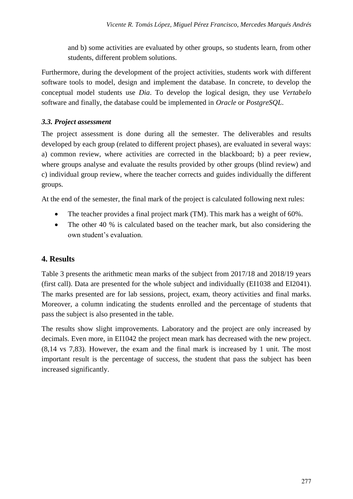and b) some activities are evaluated by other groups, so students learn, from other students, different problem solutions.

Furthermore, during the development of the project activities, students work with different software tools to model, design and implement the database. In concrete, to develop the conceptual model students use *Dia*. To develop the logical design, they use *Vertabelo* software and finally, the database could be implemented in *Oracle* or *PostgreSQL*.

## *3.3. Project assessment*

The project assessment is done during all the semester. The deliverables and results developed by each group (related to different project phases), are evaluated in several ways: a) common review, where activities are corrected in the blackboard; b) a peer review, where groups analyse and evaluate the results provided by other groups (blind review) and c) individual group review, where the teacher corrects and guides individually the different groups.

At the end of the semester, the final mark of the project is calculated following next rules:

- The teacher provides a final project mark (TM). This mark has a weight of 60%.
- The other 40 % is calculated based on the teacher mark, but also considering the own student's evaluation.

# **4. Results**

Table 3 presents the arithmetic mean marks of the subject from 2017/18 and 2018/19 years (first call). Data are presented for the whole subject and individually (EI1038 and EI2041). The marks presented are for lab sessions, project, exam, theory activities and final marks. Moreover, a column indicating the students enrolled and the percentage of students that pass the subject is also presented in the table.

The results show slight improvements. Laboratory and the project are only increased by decimals. Even more, in EI1042 the project mean mark has decreased with the new project. (8,14 vs 7,83). However, the exam and the final mark is increased by 1 unit. The most important result is the percentage of success, the student that pass the subject has been increased significantly.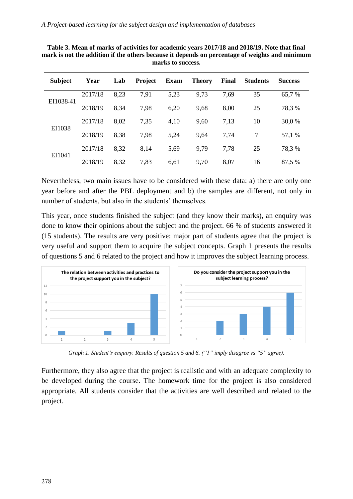| <b>Subject</b> | Year    | Lab  | <b>Project</b> | Exam | <b>Theory</b> | Final | <b>Students</b> | <b>Success</b> |
|----------------|---------|------|----------------|------|---------------|-------|-----------------|----------------|
| EI1038-41      | 2017/18 | 8,23 | 7.91           | 5,23 | 9.73          | 7,69  | 35              | 65.7 %         |
|                | 2018/19 | 8.34 | 7.98           | 6,20 | 9,68          | 8,00  | 25              | 78.3 %         |
| EI1038         | 2017/18 | 8,02 | 7,35           | 4,10 | 9,60          | 7,13  | 10              | 30,0 %         |
|                | 2018/19 | 8.38 | 7.98           | 5,24 | 9,64          | 7,74  | 7               | 57,1 %         |
| EI1041         | 2017/18 | 8,32 | 8.14           | 5.69 | 9.79          | 7.78  | 25              | 78.3 %         |
|                | 2018/19 | 8,32 | 7,83           | 6,61 | 9,70          | 8,07  | 16              | 87,5 %         |

**Table 3. Mean of marks of activities for academic years 2017/18 and 2018/19. Note that final mark is not the addition if the others because it depends on percentage of weights and minimum marks to success.** 

Nevertheless, two main issues have to be considered with these data: a) there are only one year before and after the PBL deployment and b) the samples are different, not only in number of students, but also in the students' themselves.

This year, once students finished the subject (and they know their marks), an enquiry was done to know their opinions about the subject and the project. 66 % of students answered it (15 students). The results are very positive: major part of students agree that the project is very useful and support them to acquire the subject concepts. Graph 1 presents the results of questions 5 and 6 related to the project and how it improves the subject learning process.



*Graph 1. Student's enquiry. Results of question 5 and 6. ("1" imply disagree vs "5" agree).*

Furthermore, they also agree that the project is realistic and with an adequate complexity to be developed during the course. The homework time for the project is also considered appropriate. All students consider that the activities are well described and related to the project.